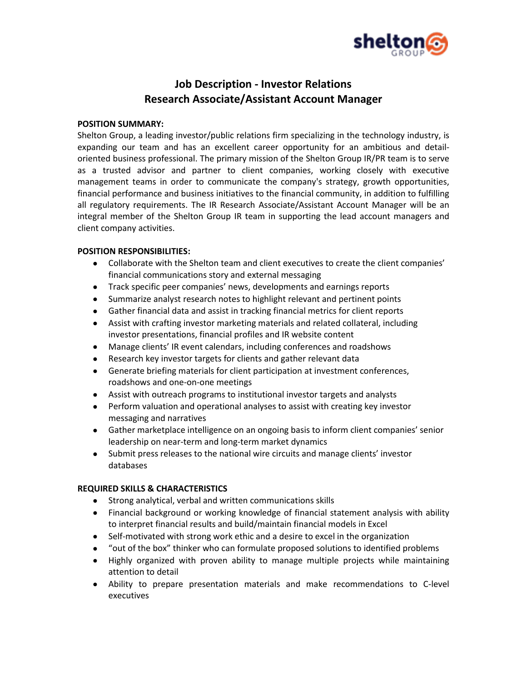

# **Job Description - Investor Relations Research Associate/Assistant Account Manager**

## **POSITION SUMMARY:**

Shelton Group, a leading investor/public relations firm specializing in the technology industry, is expanding our team and has an excellent career opportunity for an ambitious and detailoriented business professional. The primary mission of the Shelton Group IR/PR team is to serve as a trusted advisor and partner to client companies, working closely with executive management teams in order to communicate the company's strategy, growth opportunities, financial performance and business initiatives to the financial community, in addition to fulfilling all regulatory requirements. The IR Research Associate/Assistant Account Manager will be an integral member of the Shelton Group IR team in supporting the lead account managers and client company activities.

## **POSITION RESPONSIBILITIES:**

- Collaborate with the Shelton team and client executives to create the client companies' financial communications story and external messaging
- Track specific peer companies' news, developments and earnings reports
- Summarize analyst research notes to highlight relevant and pertinent points
- Gather financial data and assist in tracking financial metrics for client reports
- Assist with crafting investor marketing materials and related collateral, including investor presentations, financial profiles and IR website content
- Manage clients' IR event calendars, including conferences and roadshows
- Research key investor targets for clients and gather relevant data
- Generate briefing materials for client participation at investment conferences, roadshows and one-on-one meetings
- Assist with outreach programs to institutional investor targets and analysts
- Perform valuation and operational analyses to assist with creating key investor messaging and narratives
- Gather marketplace intelligence on an ongoing basis to inform client companies' senior leadership on near-term and long-term market dynamics
- Submit press releases to the national wire circuits and manage clients' investor databases

## **REQUIRED SKILLS & CHARACTERISTICS**

- Strong analytical, verbal and written communications skills
- Financial background or working knowledge of financial statement analysis with ability to interpret financial results and build/maintain financial models in Excel
- Self-motivated with strong work ethic and a desire to excel in the organization
- "out of the box" thinker who can formulate proposed solutions to identified problems
- Highly organized with proven ability to manage multiple projects while maintaining attention to detail
- Ability to prepare presentation materials and make recommendations to C-level executives